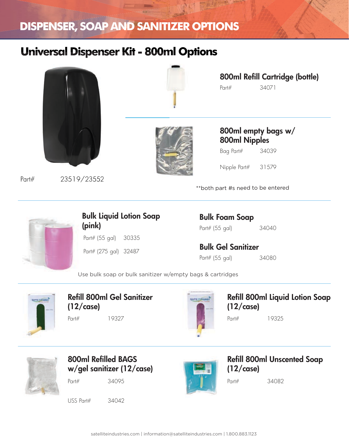### **Universal Dispenser Kit - 800ml Options**



Part# 23519/23552



Part# 34071 800ml Refill Cartridge (bottle)

800ml empty bags w/ 800ml Nipples

Bag Part# 34039

Nipple Part# 31579

\*\*both part #s need to be entered



Part# (55 gal) 30335 Part# (275 gal) 32487 Bulk Liquid Lotion Soap (pink)

Part# (55 gal) 34040 Bulk Foam Soap

Bulk Gel Sanitizer

Part# (55 gal) 34080

Use bulk soap or bulk sanitizer w/empty bags & cartridges



Part# 19327 Refill 800ml Gel Sanitizer (12/case)



Part# 19325 Refill 800ml Liquid Lotion Soap (12/case)



Part# 34095 800ml Refilled BAGS w/gel sanitizer (12/case)

USS Part# 34042



Refill 800ml Unscented Soap (12/case)

Part# 34082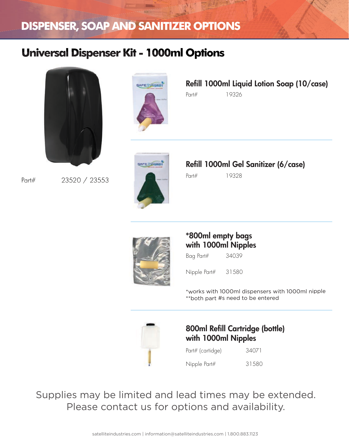### **Universal Dispenser Kit - 1000ml Options**



Part# 23520 / 23553



Part# 19326 Refill 1000ml Liquid Lotion Soap (10/case)



Refill 1000ml Gel Sanitizer (6/case)

Part# 19328



#### \*800ml empty bags with 1000ml Nipples

Bag Part# 34039

Nipple Part# 31580

\*works with 1000ml dispensers with 1000ml nipple \*\*both part #s need to be entered



#### 800ml Refill Cartridge (bottle) with 1000ml Nipples

| Part# (cartidge) | 34071 |
|------------------|-------|
| Nipple Part#     | 31580 |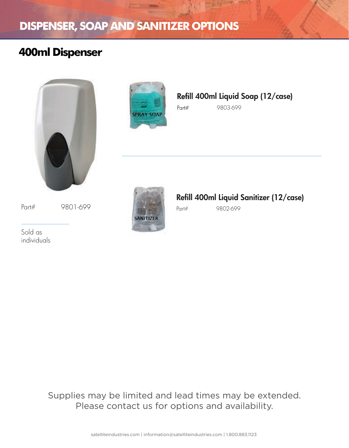# **400ml Dispenser**





Refill 400ml Liquid Soap (12/case)

Part# 9803-699

Part# 9801-699

Sold as individuals



### Refill 400ml Liquid Sanitizer (12/case)

Part# 9802-699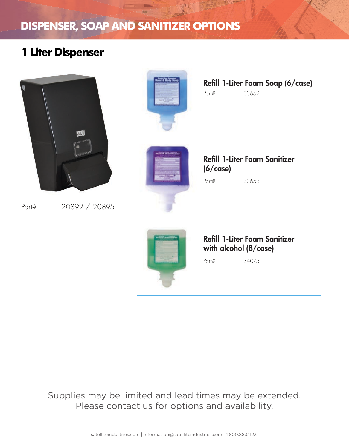### **1 Liter Dispenser**



Part# 20892 / 20895



Part# 33652 Refill 1-Liter Foam Soap (6/case)



Part# 33653 Refill 1-Liter Foam Sanitizer (6/case)



#### Refill 1-Liter Foam Sanitizer with alcohol (8/case)

Part# 34075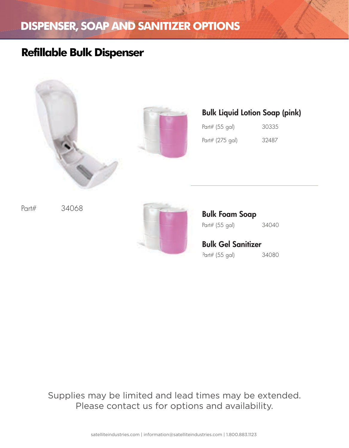### **Refillable Bulk Dispenser**





#### Bulk Liquid Lotion Soap (pink)

| Part# (55 gal)  | 30335 |
|-----------------|-------|
| Part# (275 gal) | 32487 |

Part# 34068



Part# (55 gal) 34040 Bulk Foam Soap

#### Bulk Gel Sanitizer Part# (55 gal) 34080